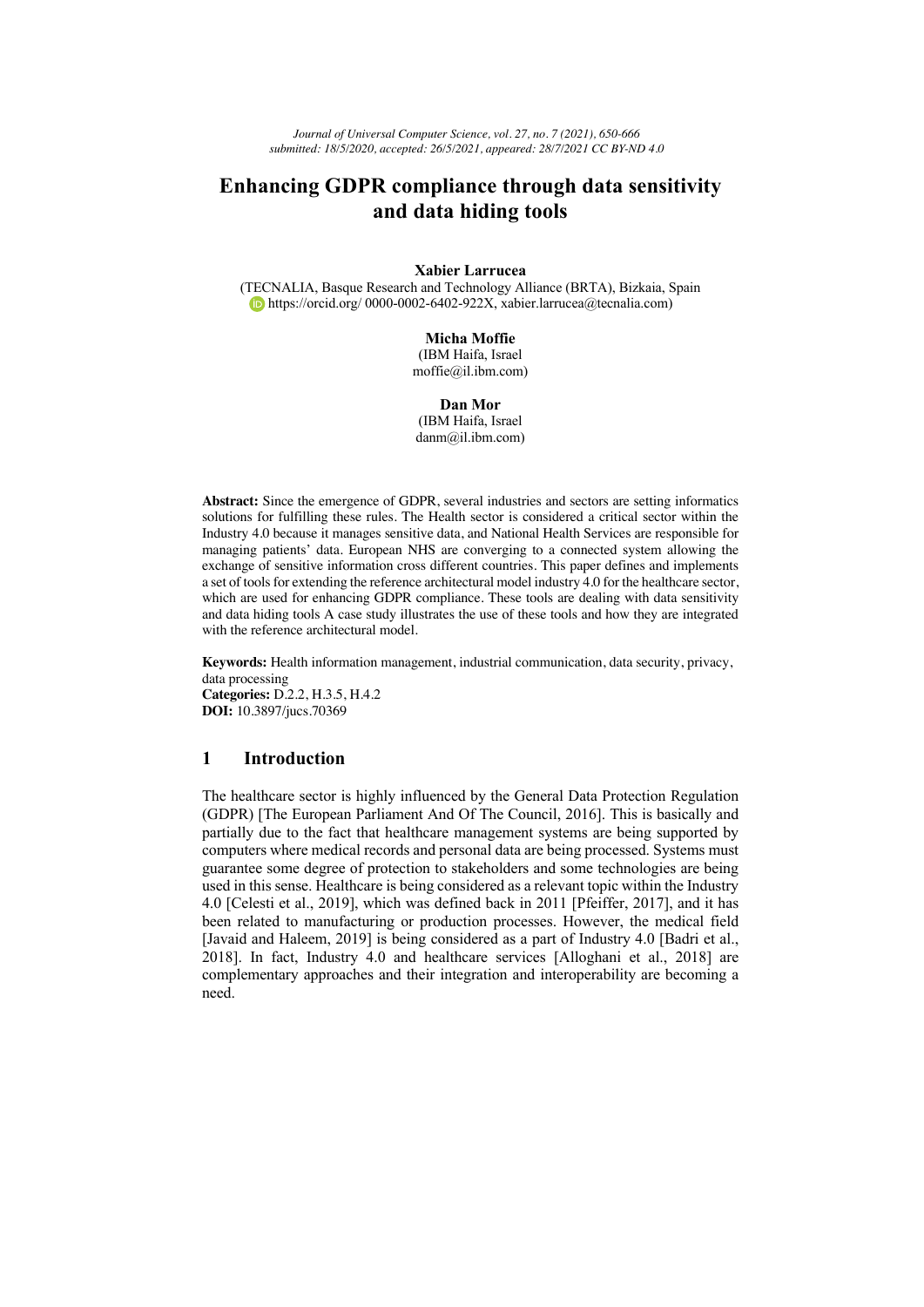*Journal of Universal Computer Science, vol. 27, no. 7 (2021), 650-666 submitted: 18/5/2020, accepted: 26/5/2021, appeared: 28/7/2021 CC BY-ND 4.0*

# **Enhancing GDPR compliance through data sensitivity and data hiding tools**

**Xabier Larrucea** 

(TECNALIA, Basque Research and Technology Alliance (BRTA), Bizkaia, Spain https://orcid.org/ 0000-0002-6402-922X, xabier.larrucea@tecnalia.com)

#### **Micha Moffie**

(IBM Haifa, Israel moffie@il.ibm.com)

#### **Dan Mor**

(IBM Haifa, Israel danm@il.ibm.com)

**Abstract:** Since the emergence of GDPR, several industries and sectors are setting informatics solutions for fulfilling these rules. The Health sector is considered a critical sector within the Industry 4.0 because it manages sensitive data, and National Health Services are responsible for managing patients' data. European NHS are converging to a connected system allowing the exchange of sensitive information cross different countries. This paper defines and implements a set of tools for extending the reference architectural model industry 4.0 for the healthcare sector, which are used for enhancing GDPR compliance. These tools are dealing with data sensitivity and data hiding tools A case study illustrates the use of these tools and how they are integrated with the reference architectural model.

**Keywords:** Health information management, industrial communication, data security, privacy, data processing **Categories:** D.2.2, H.3.5, H.4.2

**DOI:** 10.3897/jucs.70369

# **1 Introduction**

The healthcare sector is highly influenced by the General Data Protection Regulation (GDPR) [The European Parliament And Of The Council, 2016]. This is basically and partially due to the fact that healthcare management systems are being supported by computers where medical records and personal data are being processed. Systems must guarantee some degree of protection to stakeholders and some technologies are being used in this sense. Healthcare is being considered as a relevant topic within the Industry 4.0 [Celesti et al., 2019], which was defined back in 2011 [Pfeiffer, 2017], and it has been related to manufacturing or production processes. However, the medical field [Javaid and Haleem, 2019] is being considered as a part of Industry 4.0 [Badri et al., 2018]. In fact, Industry 4.0 and healthcare services [Alloghani et al., 2018] are complementary approaches and their integration and interoperability are becoming a need.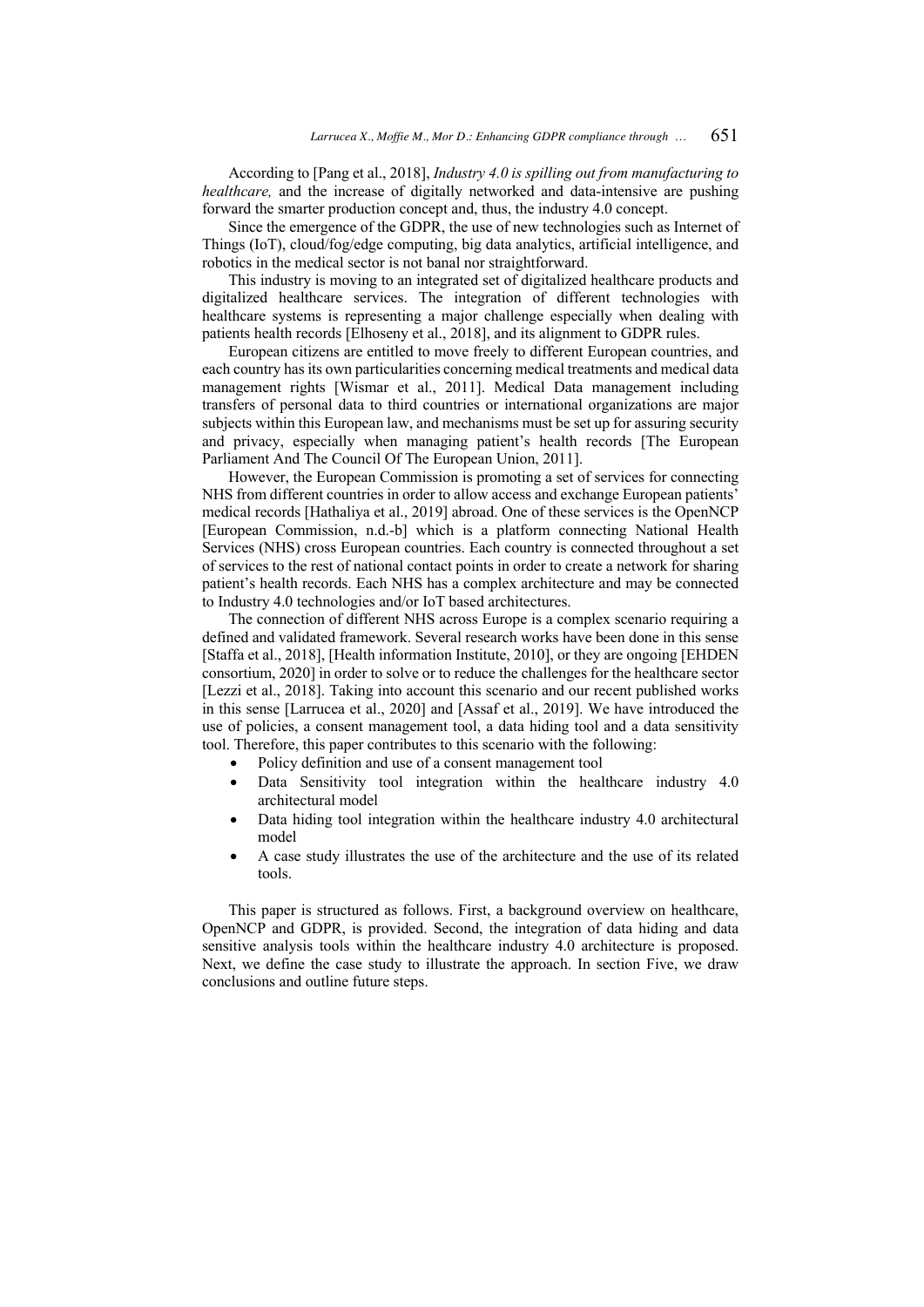According to [Pang et al., 2018], *Industry 4.0 is spilling out from manufacturing to healthcare*, and the increase of digitally networked and data-intensive are pushing forward the smarter production concept and, thus, the industry 4.0 concept.

Since the emergence of the GDPR, the use of new technologies such as Internet of Things (IoT), cloud/fog/edge computing, big data analytics, artificial intelligence, and robotics in the medical sector is not banal nor straightforward.

This industry is moving to an integrated set of digitalized healthcare products and digitalized healthcare services. The integration of different technologies with healthcare systems is representing a major challenge especially when dealing with patients health records [Elhoseny et al., 2018], and its alignment to GDPR rules.

European citizens are entitled to move freely to different European countries, and each country has its own particularities concerning medical treatments and medical data management rights [Wismar et al., 2011]. Medical Data management including transfers of personal data to third countries or international organizations are major subjects within this European law, and mechanisms must be set up for assuring security and privacy, especially when managing patient's health records [The European Parliament And The Council Of The European Union, 2011].

However, the European Commission is promoting a set of services for connecting NHS from different countries in order to allow access and exchange European patients' medical records [Hathaliya et al., 2019] abroad. One of these services is the OpenNCP [European Commission, n.d.-b] which is a platform connecting National Health Services (NHS) cross European countries. Each country is connected throughout a set of services to the rest of national contact points in order to create a network for sharing patient's health records. Each NHS has a complex architecture and may be connected to Industry 4.0 technologies and/or IoT based architectures.

The connection of different NHS across Europe is a complex scenario requiring a defined and validated framework. Several research works have been done in this sense [Staffa et al., 2018], [Health information Institute, 2010], or they are ongoing [EHDEN consortium, 2020] in order to solve or to reduce the challenges for the healthcare sector [Lezzi et al., 2018]. Taking into account this scenario and our recent published works in this sense [Larrucea et al., 2020] and [Assaf et al., 2019]. We have introduced the use of policies, a consent management tool, a data hiding tool and a data sensitivity tool. Therefore, this paper contributes to this scenario with the following:

- Policy definition and use of a consent management tool
- Data Sensitivity tool integration within the healthcare industry 4.0 architectural model
- Data hiding tool integration within the healthcare industry 4.0 architectural model
- A case study illustrates the use of the architecture and the use of its related tools.

This paper is structured as follows. First, a background overview on healthcare, OpenNCP and GDPR, is provided. Second, the integration of data hiding and data sensitive analysis tools within the healthcare industry 4.0 architecture is proposed. Next, we define the case study to illustrate the approach. In section Five, we draw conclusions and outline future steps.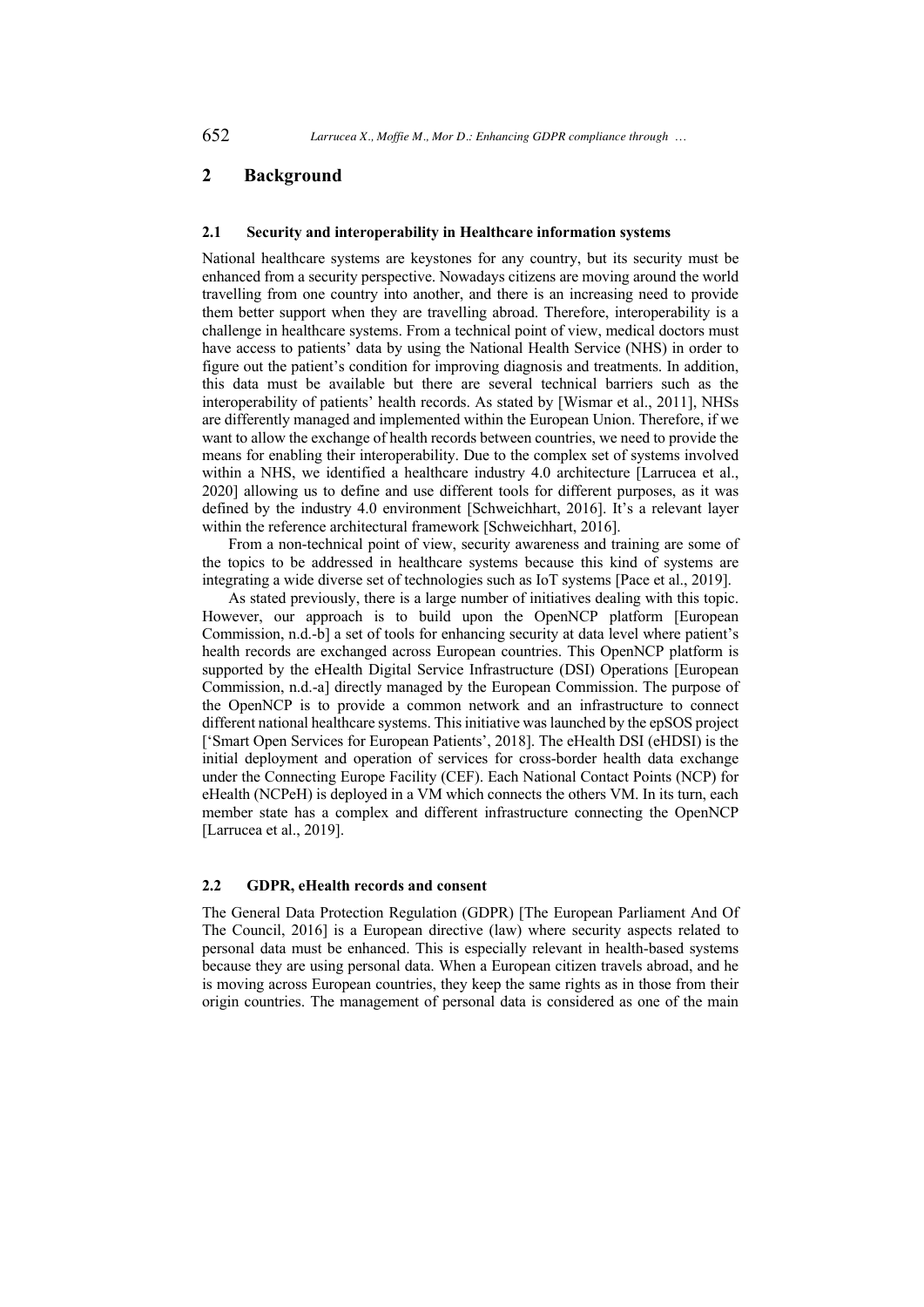# **2 Background**

#### **2.1 Security and interoperability in Healthcare information systems**

National healthcare systems are keystones for any country, but its security must be enhanced from a security perspective. Nowadays citizens are moving around the world travelling from one country into another, and there is an increasing need to provide them better support when they are travelling abroad. Therefore, interoperability is a challenge in healthcare systems. From a technical point of view, medical doctors must have access to patients' data by using the National Health Service (NHS) in order to figure out the patient's condition for improving diagnosis and treatments. In addition, this data must be available but there are several technical barriers such as the interoperability of patients' health records. As stated by [Wismar et al., 2011], NHSs are differently managed and implemented within the European Union. Therefore, if we want to allow the exchange of health records between countries, we need to provide the means for enabling their interoperability. Due to the complex set of systems involved within a NHS, we identified a healthcare industry 4.0 architecture [Larrucea et al., 2020] allowing us to define and use different tools for different purposes, as it was defined by the industry 4.0 environment [Schweichhart, 2016]. It's a relevant layer within the reference architectural framework [Schweichhart, 2016].

From a non-technical point of view, security awareness and training are some of the topics to be addressed in healthcare systems because this kind of systems are integrating a wide diverse set of technologies such as IoT systems [Pace et al., 2019].

As stated previously, there is a large number of initiatives dealing with this topic. However, our approach is to build upon the OpenNCP platform [European Commission, n.d.-b] a set of tools for enhancing security at data level where patient's health records are exchanged across European countries. This OpenNCP platform is supported by the eHealth Digital Service Infrastructure (DSI) Operations [European Commission, n.d.-a] directly managed by the European Commission. The purpose of the OpenNCP is to provide a common network and an infrastructure to connect different national healthcare systems. This initiative was launched by the epSOS project ['Smart Open Services for European Patients', 2018]. The eHealth DSI (eHDSI) is the initial deployment and operation of services for cross-border health data exchange under the Connecting Europe Facility (CEF). Each National Contact Points (NCP) for eHealth (NCPeH) is deployed in a VM which connects the others VM. In its turn, each member state has a complex and different infrastructure connecting the OpenNCP [Larrucea et al., 2019].

### **2.2 GDPR, eHealth records and consent**

The General Data Protection Regulation (GDPR) [The European Parliament And Of The Council, 2016] is a European directive (law) where security aspects related to personal data must be enhanced. This is especially relevant in health-based systems because they are using personal data. When a European citizen travels abroad, and he is moving across European countries, they keep the same rights as in those from their origin countries. The management of personal data is considered as one of the main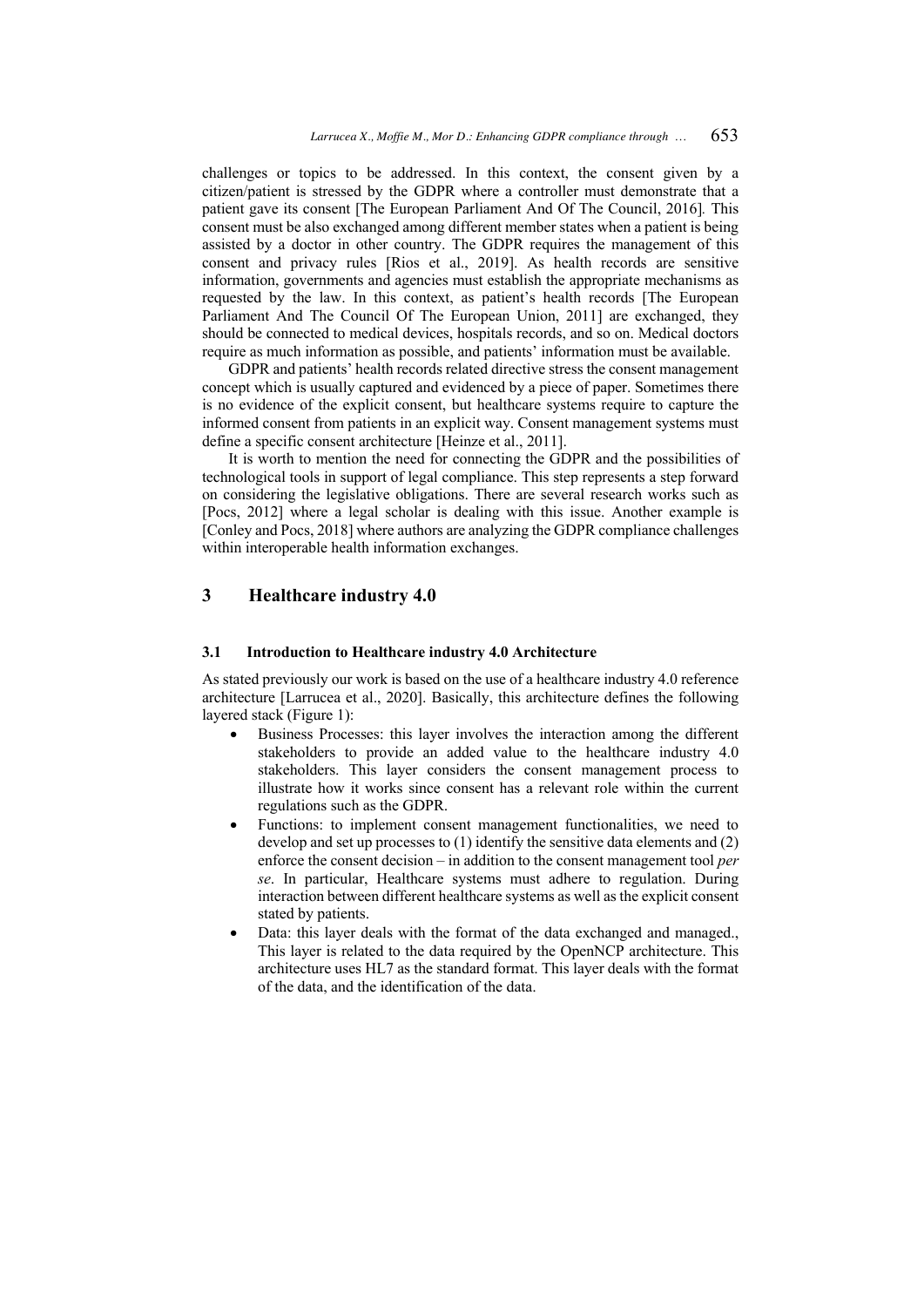challenges or topics to be addressed. In this context, the consent given by a citizen/patient is stressed by the GDPR where a controller must demonstrate that a patient gave its consent [The European Parliament And Of The Council, 2016]*.* This consent must be also exchanged among different member states when a patient is being assisted by a doctor in other country. The GDPR requires the management of this consent and privacy rules [Rios et al., 2019]. As health records are sensitive information, governments and agencies must establish the appropriate mechanisms as requested by the law. In this context, as patient's health records [The European Parliament And The Council Of The European Union, 2011] are exchanged, they should be connected to medical devices, hospitals records, and so on. Medical doctors require as much information as possible, and patients' information must be available.

GDPR and patients' health records related directive stress the consent management concept which is usually captured and evidenced by a piece of paper. Sometimes there is no evidence of the explicit consent, but healthcare systems require to capture the informed consent from patients in an explicit way. Consent management systems must define a specific consent architecture [Heinze et al., 2011].

It is worth to mention the need for connecting the GDPR and the possibilities of technological tools in support of legal compliance. This step represents a step forward on considering the legislative obligations. There are several research works such as [Pocs, 2012] where a legal scholar is dealing with this issue. Another example is [Conley and Pocs, 2018] where authors are analyzing the GDPR compliance challenges within interoperable health information exchanges.

# **3 Healthcare industry 4.0**

#### **3.1 Introduction to Healthcare industry 4.0 Architecture**

As stated previously our work is based on the use of a healthcare industry 4.0 reference architecture [Larrucea et al., 2020]. Basically, this architecture defines the following layered stack (Figure 1):

- Business Processes: this layer involves the interaction among the different stakeholders to provide an added value to the healthcare industry 4.0 stakeholders. This layer considers the consent management process to illustrate how it works since consent has a relevant role within the current regulations such as the GDPR.
- Functions: to implement consent management functionalities, we need to develop and set up processes to (1) identify the sensitive data elements and (2) enforce the consent decision – in addition to the consent management tool *per se*. In particular, Healthcare systems must adhere to regulation. During interaction between different healthcare systems as well as the explicit consent stated by patients.
- Data: this layer deals with the format of the data exchanged and managed., This layer is related to the data required by the OpenNCP architecture. This architecture uses HL7 as the standard format. This layer deals with the format of the data, and the identification of the data.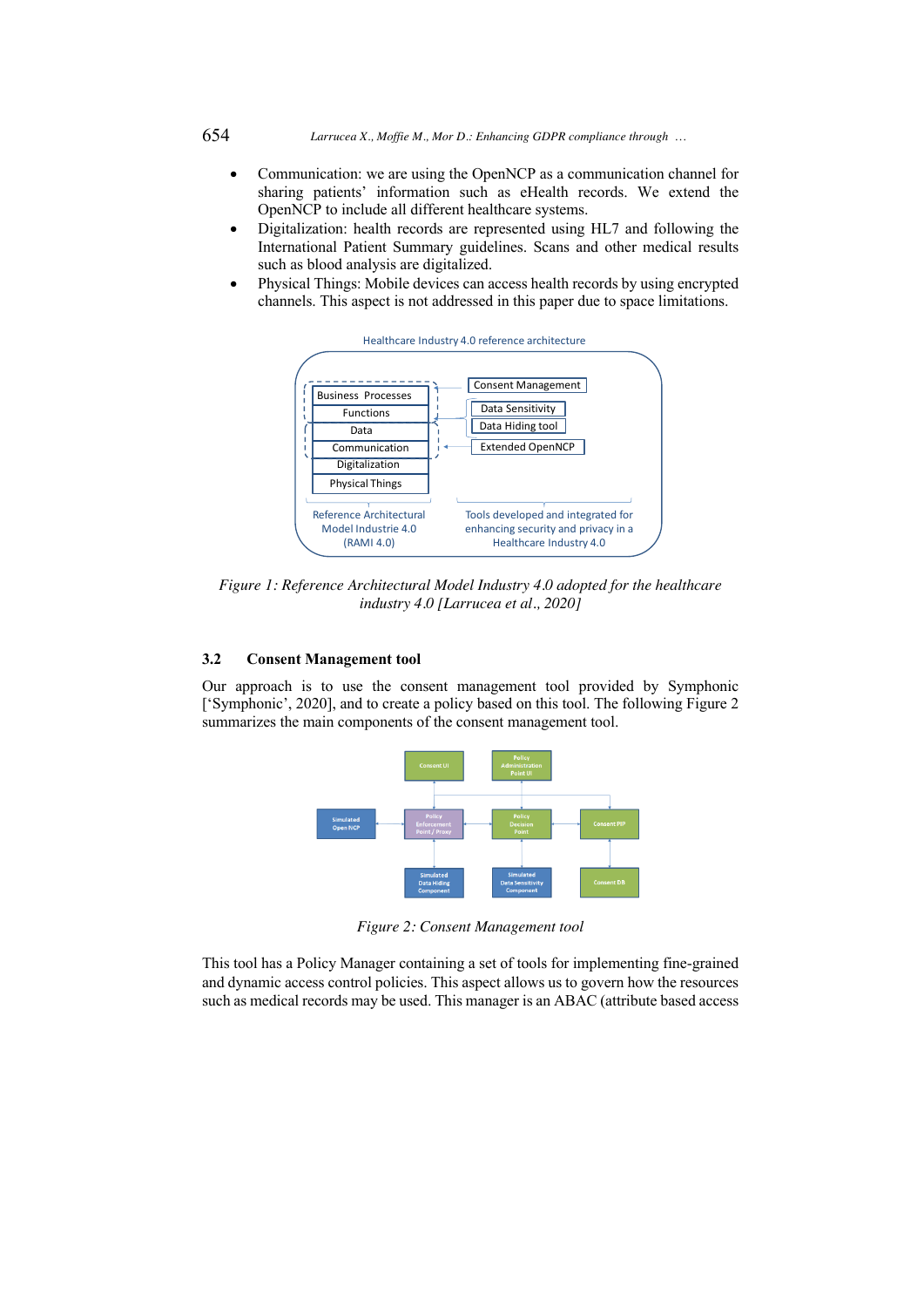654 *Larrucea X., Moffie M., Mor D.: Enhancing GDPR compliance through …*

- Communication: we are using the OpenNCP as a communication channel for sharing patients' information such as eHealth records. We extend the OpenNCP to include all different healthcare systems.
- Digitalization: health records are represented using HL7 and following the International Patient Summary guidelines. Scans and other medical results such as blood analysis are digitalized.
- Physical Things: Mobile devices can access health records by using encrypted channels. This aspect is not addressed in this paper due to space limitations.



*Figure 1: Reference Architectural Model Industry 4.0 adopted for the healthcare industry 4.0 [Larrucea et al., 2020]*

### **3.2 Consent Management tool**

Our approach is to use the consent management tool provided by Symphonic ['Symphonic', 2020], and to create a policy based on this tool. The following Figure 2 summarizes the main components of the consent management tool.



*Figure 2: Consent Management tool*

This tool has a Policy Manager containing a set of tools for implementing fine-grained and dynamic access control policies. This aspect allows us to govern how the resources such as medical records may be used. This manager is an ABAC (attribute based access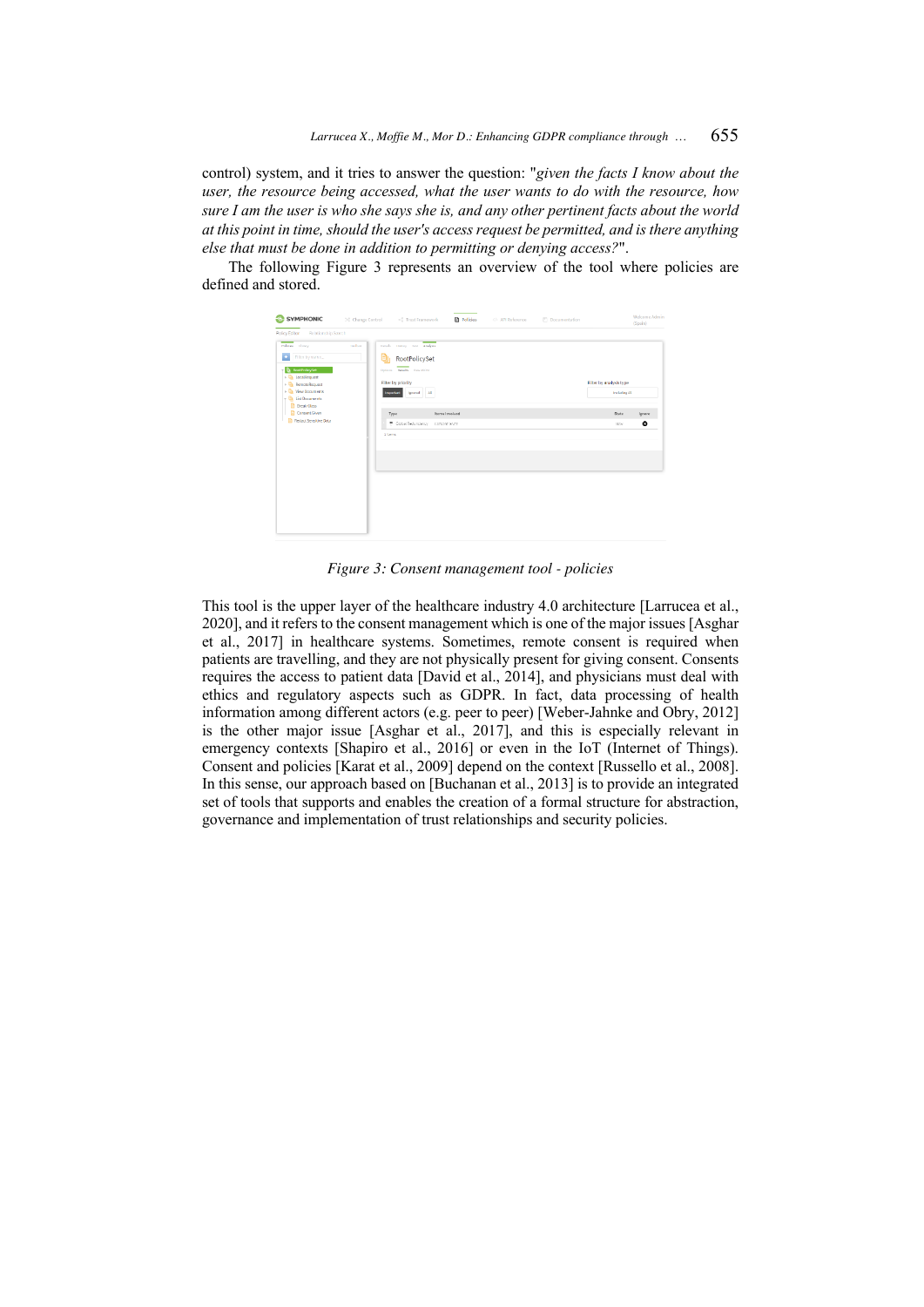control) system, and it tries to answer the question: "*given the facts I know about the user, the resource being accessed, what the user wants to do with the resource, how sure I am the user is who she says she is, and any other pertinent facts about the world at this point in time, should the user's access request be permitted, and is there anything else that must be done in addition to permitting or denying access?*".

The following Figure 3 represents an overview of the tool where policies are defined and stored.



*Figure 3: Consent management tool - policies*

This tool is the upper layer of the healthcare industry 4.0 architecture [Larrucea et al., 2020], and it refers to the consent management which is one of the major issues [Asghar et al., 2017] in healthcare systems. Sometimes, remote consent is required when patients are travelling, and they are not physically present for giving consent. Consents requires the access to patient data [David et al., 2014], and physicians must deal with ethics and regulatory aspects such as GDPR. In fact, data processing of health information among different actors (e.g. peer to peer) [Weber-Jahnke and Obry, 2012] is the other major issue [Asghar et al., 2017], and this is especially relevant in emergency contexts [Shapiro et al., 2016] or even in the IoT (Internet of Things). Consent and policies [Karat et al., 2009] depend on the context [Russello et al., 2008]. In this sense, our approach based on [Buchanan et al., 2013] is to provide an integrated set of tools that supports and enables the creation of a formal structure for abstraction, governance and implementation of trust relationships and security policies.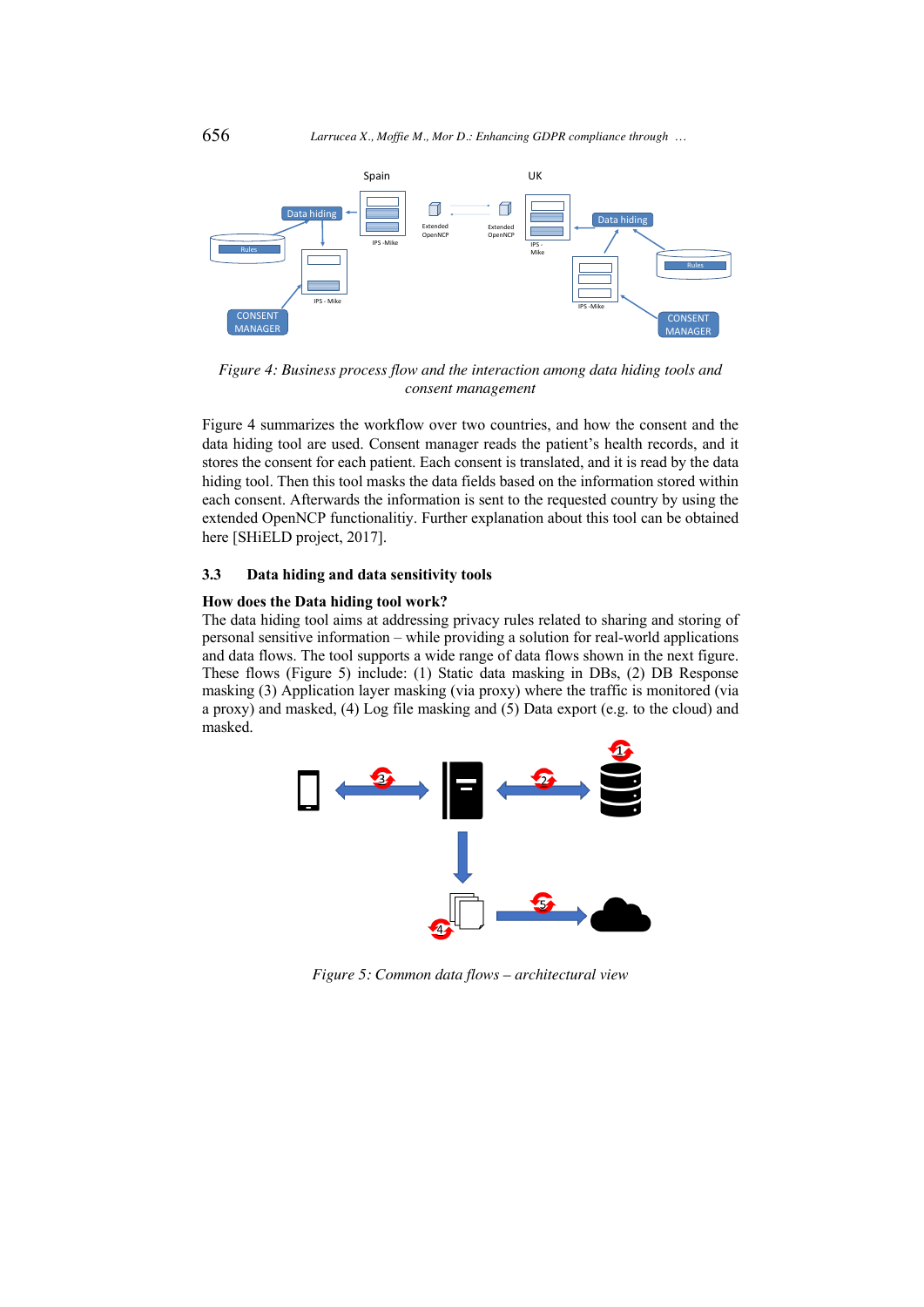

*Figure 4: Business process flow and the interaction among data hiding tools and consent management* 

Figure 4 summarizes the workflow over two countries, and how the consent and the data hiding tool are used. Consent manager reads the patient's health records, and it stores the consent for each patient. Each consent is translated, and it is read by the data hiding tool. Then this tool masks the data fields based on the information stored within each consent. Afterwards the information is sent to the requested country by using the extended OpenNCP functionalitiy. Further explanation about this tool can be obtained here [SHiELD project, 2017].

### **3.3 Data hiding and data sensitivity tools**

### **How does the Data hiding tool work?**

The data hiding tool aims at addressing privacy rules related to sharing and storing of personal sensitive information – while providing a solution for real-world applications and data flows. The tool supports a wide range of data flows shown in the next figure. These flows (Figure 5) include: (1) Static data masking in DBs, (2) DB Response masking (3) Application layer masking (via proxy) where the traffic is monitored (via a proxy) and masked, (4) Log file masking and (5) Data export (e.g. to the cloud) and masked.



*Figure 5: Common data flows – architectural view*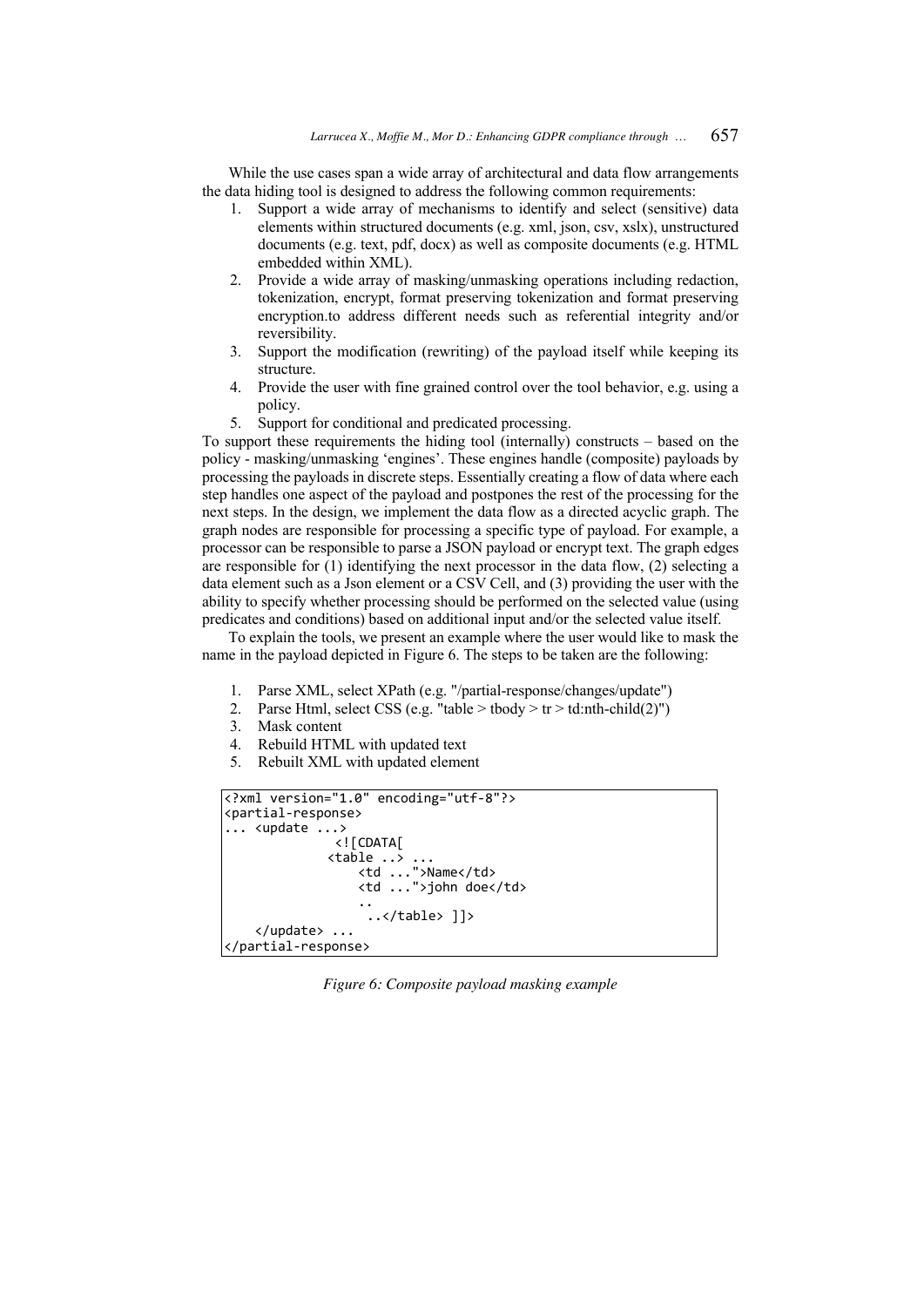While the use cases span a wide array of architectural and data flow arrangements the data hiding tool is designed to address the following common requirements:

- 1. Support a wide array of mechanisms to identify and select (sensitive) data elements within structured documents (e.g. xml, json, csv, xslx), unstructured documents (e.g. text, pdf, docx) as well as composite documents (e.g. HTML embedded within XML).
- 2. Provide a wide array of masking/unmasking operations including redaction, tokenization, encrypt, format preserving tokenization and format preserving encryption.to address different needs such as referential integrity and/or reversibility.
- 3. Support the modification (rewriting) of the payload itself while keeping its structure.
- 4. Provide the user with fine grained control over the tool behavior, e.g. using a policy.
- 5. Support for conditional and predicated processing.

To support these requirements the hiding tool (internally) constructs – based on the policy - masking/unmasking 'engines'. These engines handle (composite) payloads by processing the payloads in discrete steps. Essentially creating a flow of data where each step handles one aspect of the payload and postpones the rest of the processing for the next steps. In the design, we implement the data flow as a directed acyclic graph. The graph nodes are responsible for processing a specific type of payload. For example, a processor can be responsible to parse a JSON payload or encrypt text. The graph edges are responsible for  $(1)$  identifying the next processor in the data flow,  $(2)$  selecting a data element such as a Json element or a CSV Cell, and (3) providing the user with the ability to specify whether processing should be performed on the selected value (using predicates and conditions) based on additional input and/or the selected value itself.

To explain the tools, we present an example where the user would like to mask the name in the payload depicted in Figure 6. The steps to be taken are the following:

- 1. Parse XML, select XPath (e.g. "/partial-response/changes/update")
- 2. Parse Html, select CSS (e.g. "table > tbody > tr > td:nth-child(2)")
- 3. Mask content
- 4. Rebuild HTML with updated text
- 5. Rebuilt XML with updated element

```
<?xml version="1.0" encoding="utf-8"?>
<partial-response>
... <update ...>
                <![CDATA[
\langle \text{table} \dots \rangle <td ...">Name</td>
                   <td ...">john doe</td> 
             .. 
                    ..</table> ]]>
     </update> ...
</partial-response>
```
*Figure 6: Composite payload masking example*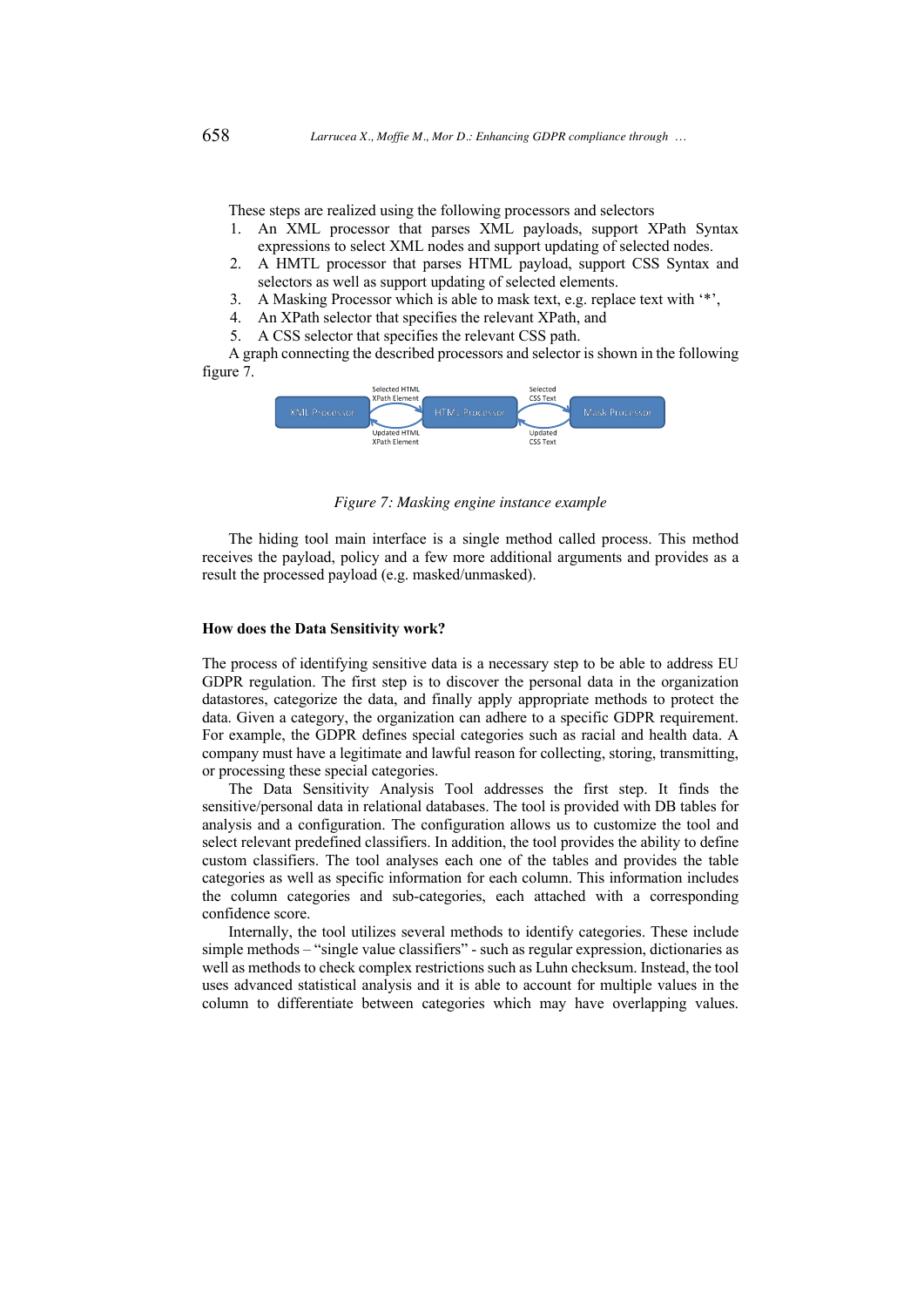These steps are realized using the following processors and selectors

- 1. An XML processor that parses XML payloads, support XPath Syntax expressions to select XML nodes and support updating of selected nodes.
- 2. A HMTL processor that parses HTML payload, support CSS Syntax and selectors as well as support updating of selected elements.
- 3. A Masking Processor which is able to mask text, e.g. replace text with '\*',
- 4. An XPath selector that specifies the relevant XPath, and
- 5. A CSS selector that specifies the relevant CSS path.

A graph connecting the described processors and selector is shown in the following figure 7.



*Figure 7: Masking engine instance example*

The hiding tool main interface is a single method called process. This method receives the payload, policy and a few more additional arguments and provides as a result the processed payload (e.g. masked/unmasked).

#### **How does the Data Sensitivity work?**

The process of identifying sensitive data is a necessary step to be able to address EU GDPR regulation. The first step is to discover the personal data in the organization datastores, categorize the data, and finally apply appropriate methods to protect the data. Given a category, the organization can adhere to a specific GDPR requirement. For example, the GDPR defines special categories such as racial and health data. A company must have a legitimate and lawful reason for collecting, storing, transmitting, or processing these special categories.

The Data Sensitivity Analysis Tool addresses the first step. It finds the sensitive/personal data in relational databases. The tool is provided with DB tables for analysis and a configuration. The configuration allows us to customize the tool and select relevant predefined classifiers. In addition, the tool provides the ability to define custom classifiers. The tool analyses each one of the tables and provides the table categories as well as specific information for each column. This information includes the column categories and sub-categories, each attached with a corresponding confidence score.

Internally, the tool utilizes several methods to identify categories. These include simple methods – "single value classifiers" - such as regular expression, dictionaries as well as methods to check complex restrictions such as Luhn checksum. Instead, the tool uses advanced statistical analysis and it is able to account for multiple values in the column to differentiate between categories which may have overlapping values.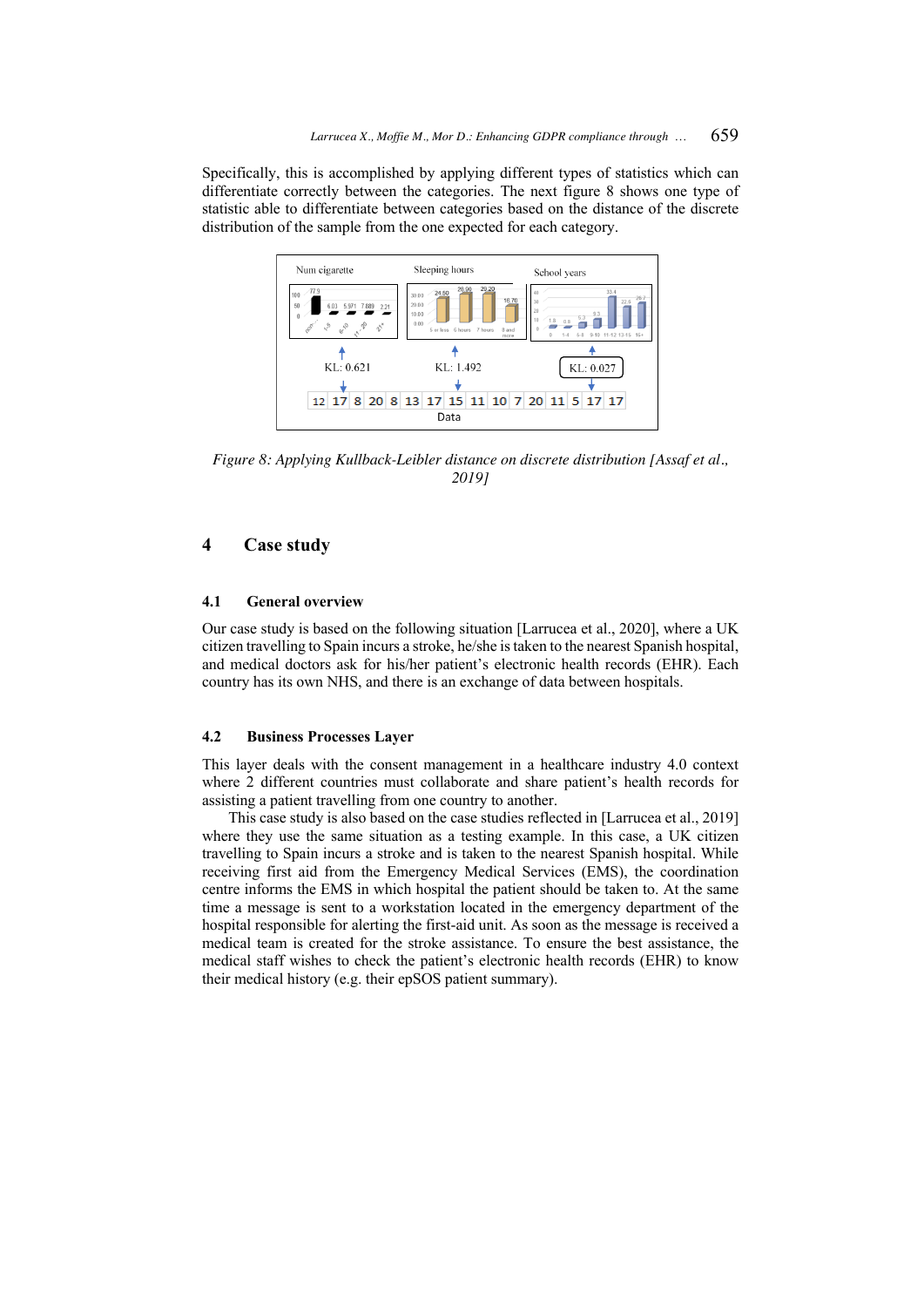Specifically, this is accomplished by applying different types of statistics which can differentiate correctly between the categories. The next figure 8 shows one type of statistic able to differentiate between categories based on the distance of the discrete distribution of the sample from the one expected for each category.



*Figure 8: Applying Kullback-Leibler distance on discrete distribution [Assaf et al., 2019]*

# **4 Case study**

### **4.1 General overview**

Our case study is based on the following situation [Larrucea et al., 2020], where a UK citizen travelling to Spain incurs a stroke, he/she is taken to the nearest Spanish hospital, and medical doctors ask for his/her patient's electronic health records (EHR). Each country has its own NHS, and there is an exchange of data between hospitals.

### **4.2 Business Processes Layer**

This layer deals with the consent management in a healthcare industry 4.0 context where 2 different countries must collaborate and share patient's health records for assisting a patient travelling from one country to another.

This case study is also based on the case studies reflected in [Larrucea et al., 2019] where they use the same situation as a testing example. In this case, a UK citizen travelling to Spain incurs a stroke and is taken to the nearest Spanish hospital. While receiving first aid from the Emergency Medical Services (EMS), the coordination centre informs the EMS in which hospital the patient should be taken to. At the same time a message is sent to a workstation located in the emergency department of the hospital responsible for alerting the first-aid unit. As soon as the message is received a medical team is created for the stroke assistance. To ensure the best assistance, the medical staff wishes to check the patient's electronic health records (EHR) to know their medical history (e.g. their epSOS patient summary).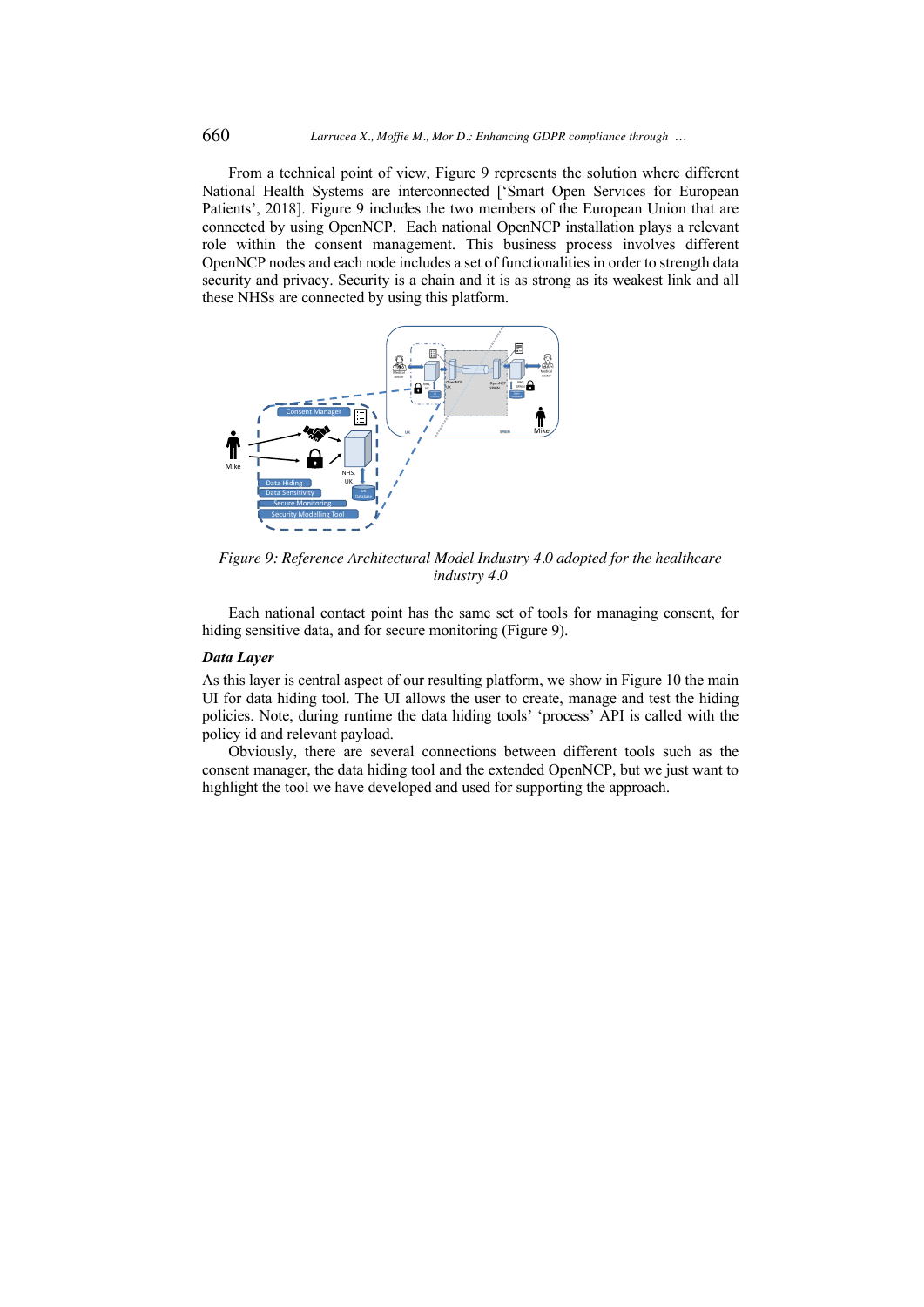From a technical point of view, Figure 9 represents the solution where different National Health Systems are interconnected ['Smart Open Services for European Patients', 2018]. Figure 9 includes the two members of the European Union that are connected by using OpenNCP. Each national OpenNCP installation plays a relevant role within the consent management. This business process involves different OpenNCP nodes and each node includes a set of functionalities in order to strength data security and privacy. Security is a chain and it is as strong as its weakest link and all these NHSs are connected by using this platform.



*Figure 9: Reference Architectural Model Industry 4.0 adopted for the healthcare industry 4.0* 

Each national contact point has the same set of tools for managing consent, for hiding sensitive data, and for secure monitoring (Figure 9).

#### *Data Layer*

As this layer is central aspect of our resulting platform, we show in Figure 10 the main UI for data hiding tool. The UI allows the user to create, manage and test the hiding policies. Note, during runtime the data hiding tools' 'process' API is called with the policy id and relevant payload.

Obviously, there are several connections between different tools such as the consent manager, the data hiding tool and the extended OpenNCP, but we just want to highlight the tool we have developed and used for supporting the approach.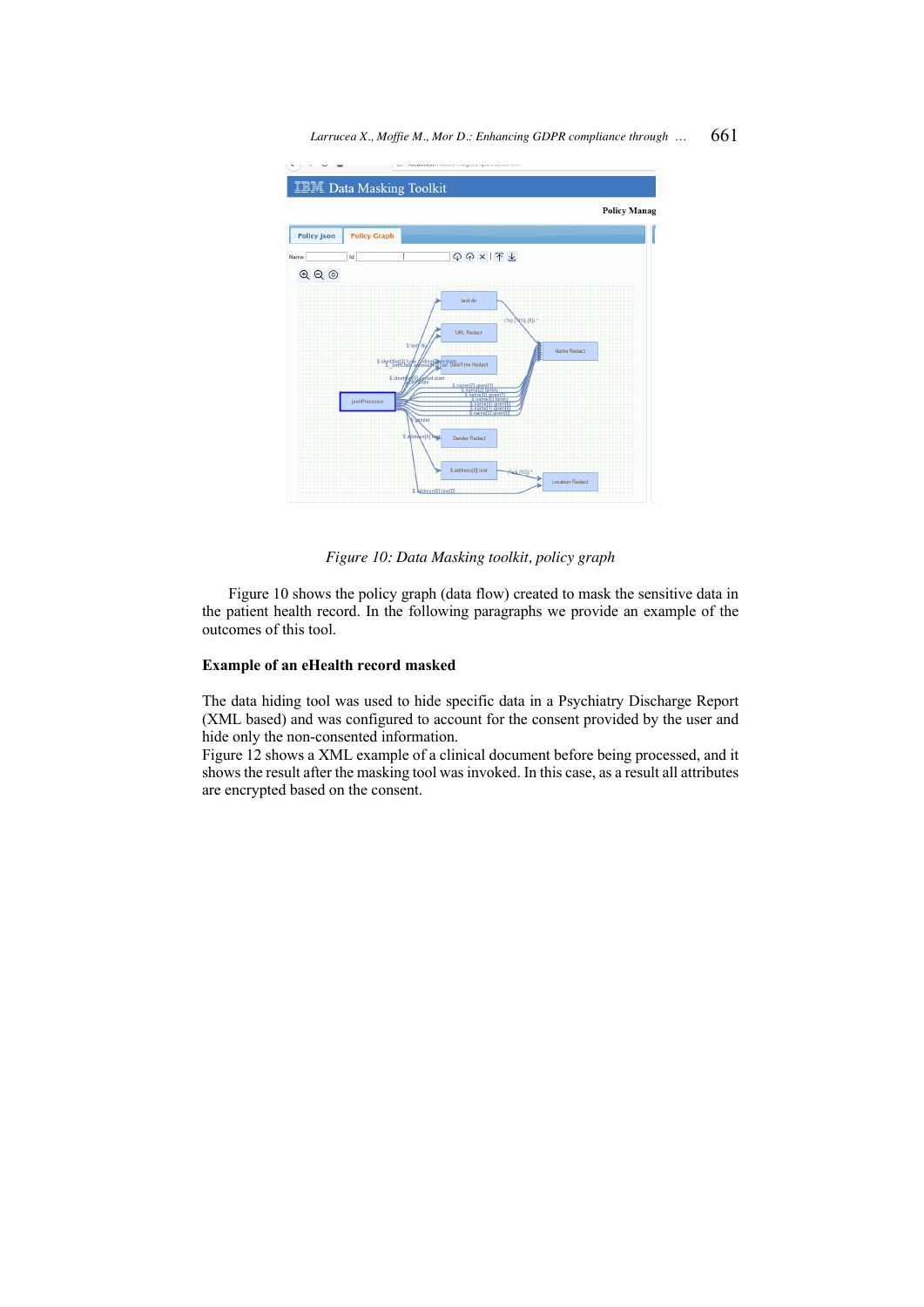Larrucea X., Moffie M., Mor D.: Enhancing GDPR compliance through ... 661



*Figure 10: Data Masking toolkit, policy graph*

Figure 10 shows the policy graph (data flow) created to mask the sensitive data in the patient health record. In the following paragraphs we provide an example of the outcomes of this tool.

#### **Example of an eHealth record masked**

The data hiding tool was used to hide specific data in a Psychiatry Discharge Report (XML based) and was configured to account for the consent provided by the user and hide only the non-consented information.

Figure 12 shows a XML example of a clinical document before being processed, and it shows the result after the masking tool was invoked. In this case, as a result all attributes are encrypted based on the consent.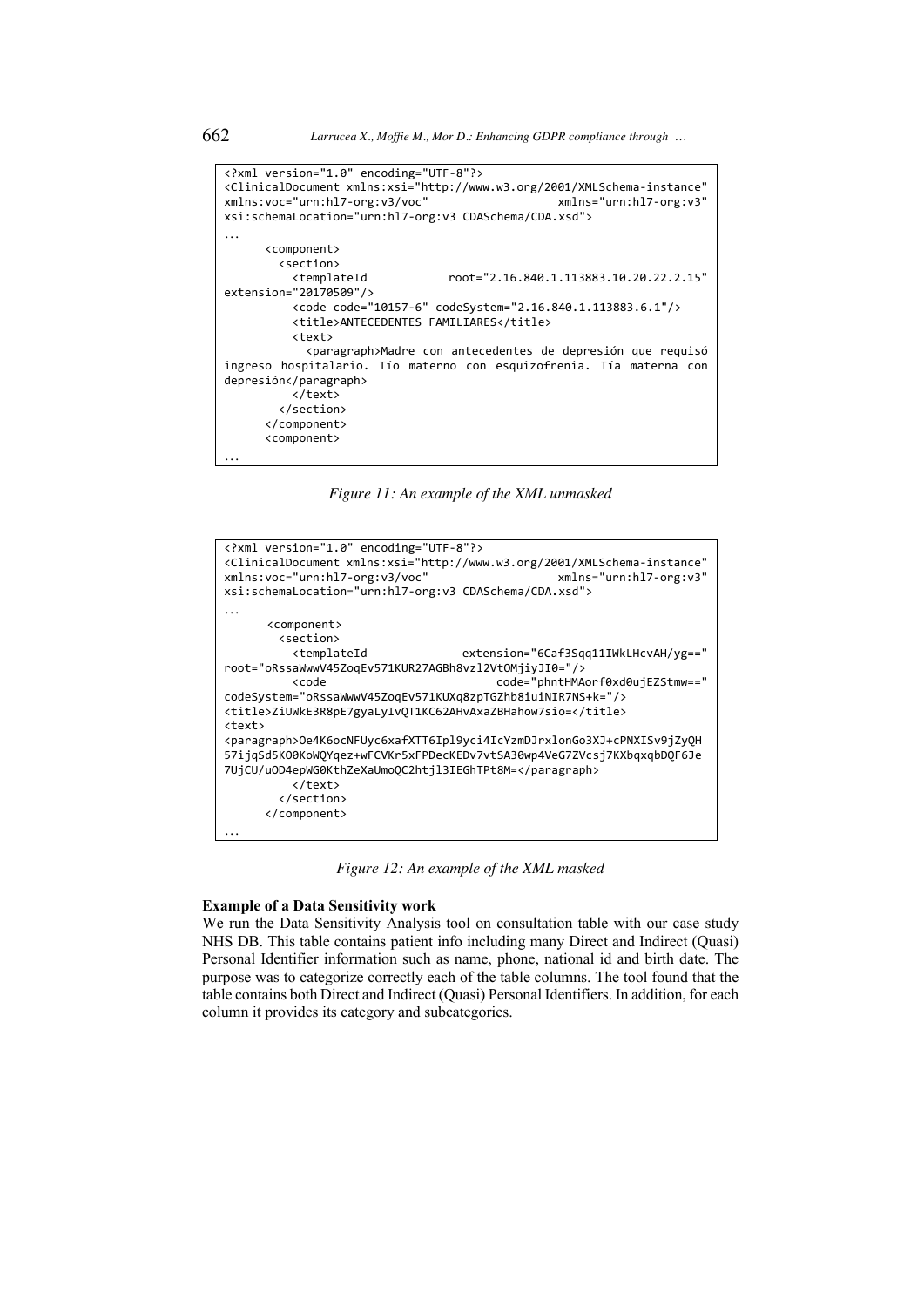```
<?xml version="1.0" encoding="UTF-8"?>
<ClinicalDocument xmlns:xsi="http://www.w3.org/2001/XMLSchema-instance" 
xmlns:voc="urn:hl7-org:v3/voc"
xsi:schemaLocation="urn:hl7-org:v3 CDASchema/CDA.xsd">
…
       <component>
         <section>
                                  root="2.16.840.1.113883.10.20.22.2.15"
extension="20170509"/>
           <code code="10157-6" codeSystem="2.16.840.1.113883.6.1"/>
           <title>ANTECEDENTES FAMILIARES</title>
           <text>
             <paragraph>Madre con antecedentes de depresión que requisó 
ingreso hospitalario. Tío materno con esquizofrenia. Tía materna con 
depresión</paragraph>
           </text>
         </section>
       </component>
       <component>
…
```
*Figure 11: An example of the XML unmasked*

```
<?xml version="1.0" encoding="UTF-8"?>
<ClinicalDocument xmlns:xsi="http://www.w3.org/2001/XMLSchema-instance" 
xmlns:voc="urn:hl7-org:v3/voc" xmlns="urn:hl7-org:v3" 
xsi:schemaLocation="urn:hl7-org:v3 CDASchema/CDA.xsd">
… <component>
        <section>
                                 extension="6Caf3Sqq11IWkLHcvAH/yg=="
root="oRssaWwwV45ZoqEv571KUR27AGBh8vzl2VtOMjiyJI0="/>
          <code code="phntHMAorf0xd0ujEZStmw==" 
codeSystem="oRssaWwwV45ZoqEv571KUXq8zpTGZhb8iuiNIR7NS+k="/> 
<title>ZiUWkE3R8pE7gyaLyIvQT1KC62AHvAxaZBHahow7sio=</title>
<text> 
<paragraph>Oe4K6ocNFUyc6xafXTT6Ipl9yci4IcYzmDJrxlonGo3XJ+cPNXISv9jZyQH
57ijqSd5KO0KoWQYqez+wFCVKr5xFPDecKEDv7vtSA30wp4VeG7ZVcsj7KXbqxqbDQF6Je
7UjCU/uOD4epWG0KthZeXaUmoQC2htjl3IEGhTPt8M=</paragraph>
          </text>
        </section>
      </component>
…
```
*Figure 12: An example of the XML masked*

#### **Example of a Data Sensitivity work**

We run the Data Sensitivity Analysis tool on consultation table with our case study NHS DB. This table contains patient info including many Direct and Indirect (Quasi) Personal Identifier information such as name, phone, national id and birth date. The purpose was to categorize correctly each of the table columns. The tool found that the table contains both Direct and Indirect (Quasi) Personal Identifiers. In addition, for each column it provides its category and subcategories.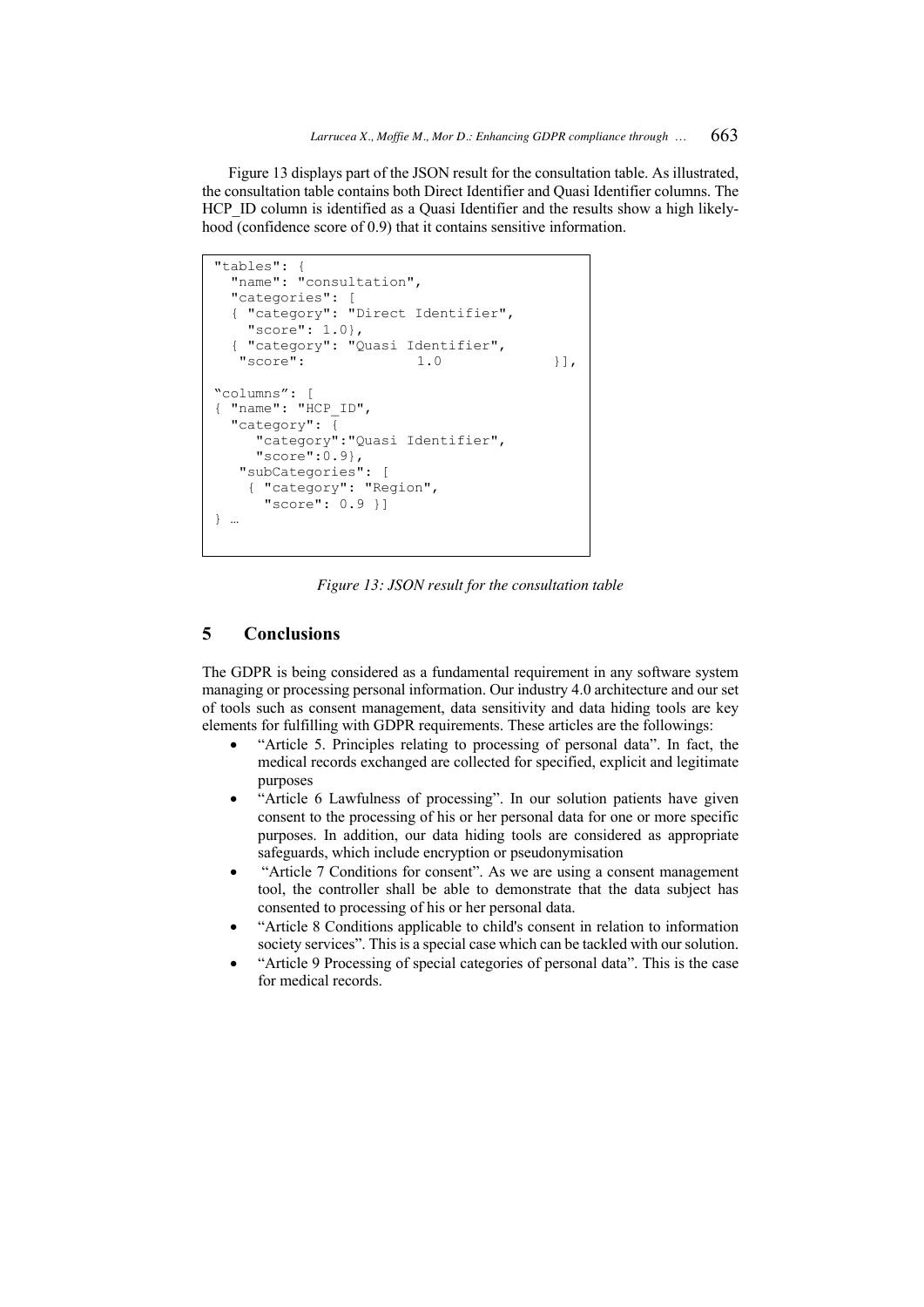Figure 13 displays part of the JSON result for the consultation table. As illustrated, the consultation table contains both Direct Identifier and Quasi Identifier columns. The HCP ID column is identified as a Quasi Identifier and the results show a high likelyhood (confidence score of 0.9) that it contains sensitive information.

```
"tables": {
  "name": "consultation",
  "categories": [
   { "category": "Direct Identifier",
     "score": 1.0},
    { "category": "Quasi Identifier",
   "score" : 1.0 }],
"columns": [
 "name": "HCP_ID",
   "category": {
     "category":"Quasi Identifier",
     "score":0.9},
    "subCategories": [
     { "category": "Region",
      "score": 0.9 }]
} …
```
*Figure 13: JSON result for the consultation table*

### **5 Conclusions**

The GDPR is being considered as a fundamental requirement in any software system managing or processing personal information. Our industry 4.0 architecture and our set of tools such as consent management, data sensitivity and data hiding tools are key elements for fulfilling with GDPR requirements. These articles are the followings:

- "Article 5. Principles relating to processing of personal data". In fact, the medical records exchanged are collected for specified, explicit and legitimate purposes
- "Article 6 Lawfulness of processing". In our solution patients have given consent to the processing of his or her personal data for one or more specific purposes. In addition, our data hiding tools are considered as appropriate safeguards, which include encryption or pseudonymisation
- "Article 7 Conditions for consent". As we are using a consent management tool, the controller shall be able to demonstrate that the data subject has consented to processing of his or her personal data.
- "Article 8 Conditions applicable to child's consent in relation to information society services". This is a special case which can be tackled with our solution.
- "Article 9 Processing of special categories of personal data". This is the case for medical records.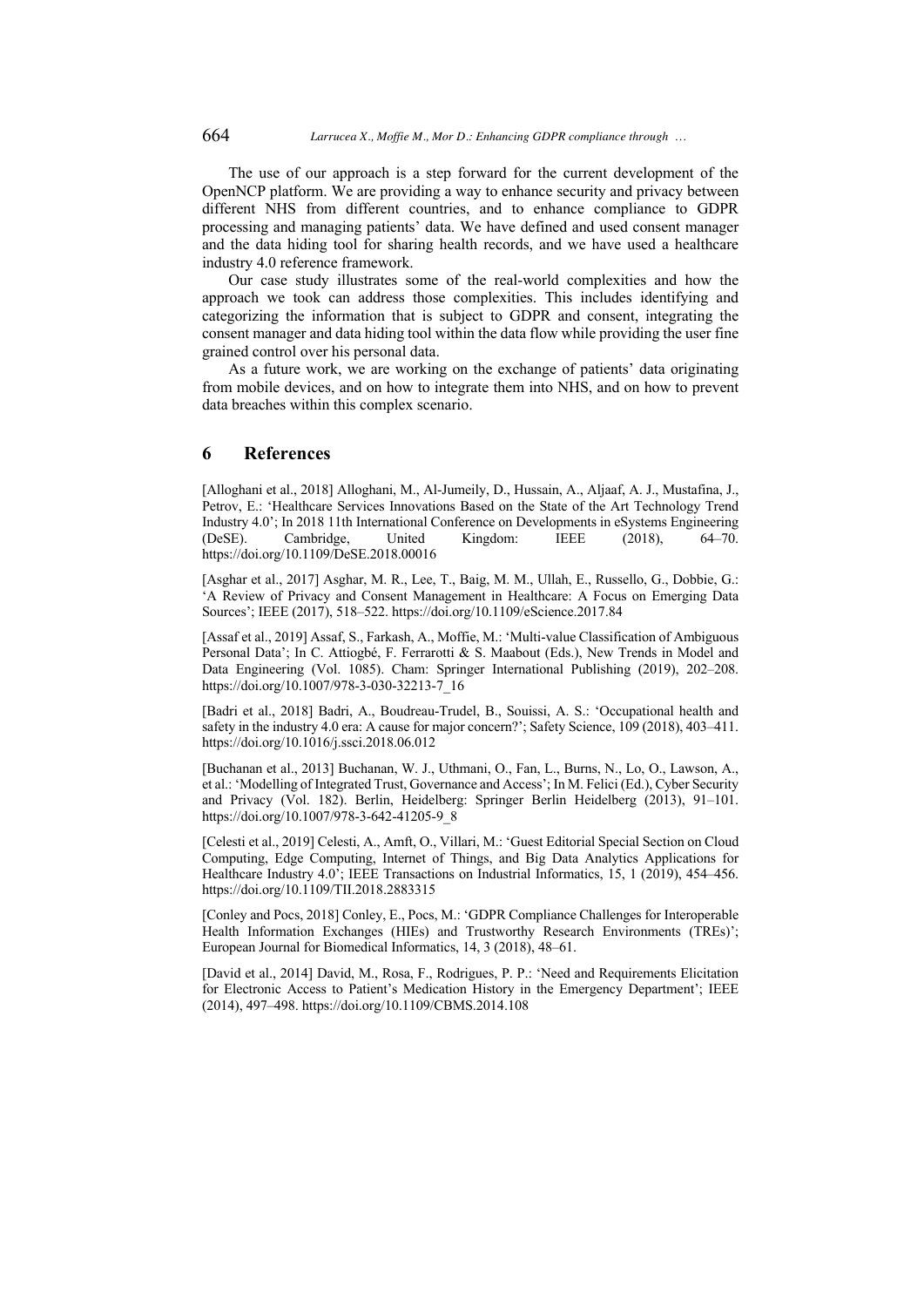The use of our approach is a step forward for the current development of the OpenNCP platform. We are providing a way to enhance security and privacy between different NHS from different countries, and to enhance compliance to GDPR processing and managing patients' data. We have defined and used consent manager and the data hiding tool for sharing health records, and we have used a healthcare industry 4.0 reference framework.

Our case study illustrates some of the real-world complexities and how the approach we took can address those complexities. This includes identifying and categorizing the information that is subject to GDPR and consent, integrating the consent manager and data hiding tool within the data flow while providing the user fine grained control over his personal data.

As a future work, we are working on the exchange of patients' data originating from mobile devices, and on how to integrate them into NHS, and on how to prevent data breaches within this complex scenario.

### **6 References**

[Alloghani et al., 2018] Alloghani, M., Al-Jumeily, D., Hussain, A., Aljaaf, A. J., Mustafina, J., Petrov, E.: 'Healthcare Services Innovations Based on the State of the Art Technology Trend Industry 4.0'; In 2018 11th International Conference on Developments in eSystems Engineering (DeSE). Cambridge, United Kingdom: IEEE (2018), 64–70. https://doi.org/10.1109/DeSE.2018.00016

[Asghar et al., 2017] Asghar, M. R., Lee, T., Baig, M. M., Ullah, E., Russello, G., Dobbie, G.: 'A Review of Privacy and Consent Management in Healthcare: A Focus on Emerging Data Sources'; IEEE (2017), 518–522. https://doi.org/10.1109/eScience.2017.84

[Assaf et al., 2019] Assaf, S., Farkash, A., Moffie, M.: 'Multi-value Classification of Ambiguous Personal Data'; In C. Attiogbé, F. Ferrarotti & S. Maabout (Eds.), New Trends in Model and Data Engineering (Vol. 1085). Cham: Springer International Publishing (2019), 202–208. https://doi.org/10.1007/978-3-030-32213-7<sup>16</sup>

[Badri et al., 2018] Badri, A., Boudreau-Trudel, B., Souissi, A. S.: 'Occupational health and safety in the industry 4.0 era: A cause for major concern?'; Safety Science, 109 (2018), 403–411. https://doi.org/10.1016/j.ssci.2018.06.012

[Buchanan et al., 2013] Buchanan, W. J., Uthmani, O., Fan, L., Burns, N., Lo, O., Lawson, A., et al.: 'Modelling of Integrated Trust, Governance and Access'; In M. Felici (Ed.), Cyber Security and Privacy (Vol. 182). Berlin, Heidelberg: Springer Berlin Heidelberg (2013), 91–101. https://doi.org/10.1007/978-3-642-41205-9\_8

[Celesti et al., 2019] Celesti, A., Amft, O., Villari, M.: 'Guest Editorial Special Section on Cloud Computing, Edge Computing, Internet of Things, and Big Data Analytics Applications for Healthcare Industry 4.0'; IEEE Transactions on Industrial Informatics, 15, 1 (2019), 454–456. https://doi.org/10.1109/TII.2018.2883315

[Conley and Pocs, 2018] Conley, E., Pocs, M.: 'GDPR Compliance Challenges for Interoperable Health Information Exchanges (HIEs) and Trustworthy Research Environments (TREs)'; European Journal for Biomedical Informatics, 14, 3 (2018), 48–61.

[David et al., 2014] David, M., Rosa, F., Rodrigues, P. P.: 'Need and Requirements Elicitation for Electronic Access to Patient's Medication History in the Emergency Department'; IEEE (2014), 497–498. https://doi.org/10.1109/CBMS.2014.108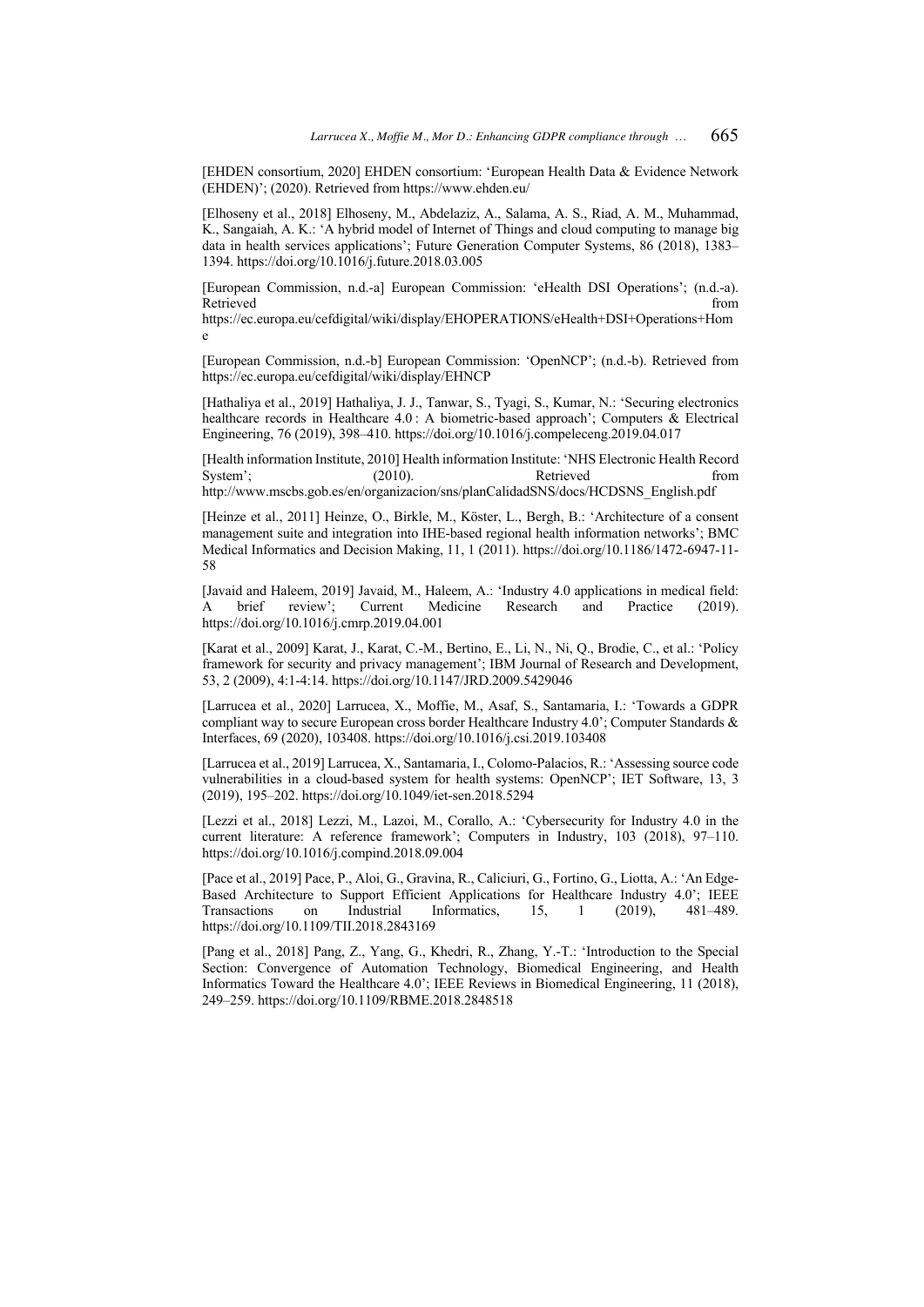[EHDEN consortium, 2020] EHDEN consortium: 'European Health Data & Evidence Network (EHDEN)'; (2020). Retrieved from https://www.ehden.eu/

[Elhoseny et al., 2018] Elhoseny, M., Abdelaziz, A., Salama, A. S., Riad, A. M., Muhammad, K., Sangaiah, A. K.: 'A hybrid model of Internet of Things and cloud computing to manage big data in health services applications'; Future Generation Computer Systems, 86 (2018), 1383– 1394. https://doi.org/10.1016/j.future.2018.03.005

[European Commission, n.d.-a] European Commission: 'eHealth DSI Operations'; (n.d.-a). Retrieved from  $\blacksquare$ 

https://ec.europa.eu/cefdigital/wiki/display/EHOPERATIONS/eHealth+DSI+Operations+Hom e

[European Commission, n.d.-b] European Commission: 'OpenNCP'; (n.d.-b). Retrieved from https://ec.europa.eu/cefdigital/wiki/display/EHNCP

[Hathaliya et al., 2019] Hathaliya, J. J., Tanwar, S., Tyagi, S., Kumar, N.: 'Securing electronics healthcare records in Healthcare 4.0 : A biometric-based approach'; Computers & Electrical Engineering, 76 (2019), 398–410. https://doi.org/10.1016/j.compeleceng.2019.04.017

[Health information Institute, 2010] Health information Institute: 'NHS Electronic Health Record System'; (2010). Retrieved from http://www.mscbs.gob.es/en/organizacion/sns/planCalidadSNS/docs/HCDSNS\_English.pdf

[Heinze et al., 2011] Heinze, O., Birkle, M., Köster, L., Bergh, B.: 'Architecture of a consent management suite and integration into IHE-based regional health information networks'; BMC Medical Informatics and Decision Making, 11, 1 (2011). https://doi.org/10.1186/1472-6947-11- 58

[Javaid and Haleem, 2019] Javaid, M., Haleem, A.: 'Industry 4.0 applications in medical field: A brief review'; Current Medicine Research and Practice (2019). https://doi.org/10.1016/j.cmrp.2019.04.001

[Karat et al., 2009] Karat, J., Karat, C.-M., Bertino, E., Li, N., Ni, Q., Brodie, C., et al.: 'Policy framework for security and privacy management'; IBM Journal of Research and Development, 53, 2 (2009), 4:1-4:14. https://doi.org/10.1147/JRD.2009.5429046

[Larrucea et al., 2020] Larrucea, X., Moffie, M., Asaf, S., Santamaria, I.: 'Towards a GDPR compliant way to secure European cross border Healthcare Industry 4.0'; Computer Standards & Interfaces, 69 (2020), 103408. https://doi.org/10.1016/j.csi.2019.103408

[Larrucea et al., 2019] Larrucea, X., Santamaria, I., Colomo-Palacios, R.: 'Assessing source code vulnerabilities in a cloud-based system for health systems: OpenNCP'; IET Software, 13, 3 (2019), 195–202. https://doi.org/10.1049/iet-sen.2018.5294

[Lezzi et al., 2018] Lezzi, M., Lazoi, M., Corallo, A.: 'Cybersecurity for Industry 4.0 in the current literature: A reference framework'; Computers in Industry, 103 (2018), 97–110. https://doi.org/10.1016/j.compind.2018.09.004

[Pace et al., 2019] Pace, P., Aloi, G., Gravina, R., Caliciuri, G., Fortino, G., Liotta, A.: 'An Edge-Based Architecture to Support Efficient Applications for Healthcare Industry 4.0'; IEEE Transactions on Industrial Informatics, 15, 1 (2019), 481–489. https://doi.org/10.1109/TII.2018.2843169

[Pang et al., 2018] Pang, Z., Yang, G., Khedri, R., Zhang, Y.-T.: 'Introduction to the Special Section: Convergence of Automation Technology, Biomedical Engineering, and Health Informatics Toward the Healthcare 4.0'; IEEE Reviews in Biomedical Engineering, 11 (2018), 249–259. https://doi.org/10.1109/RBME.2018.2848518